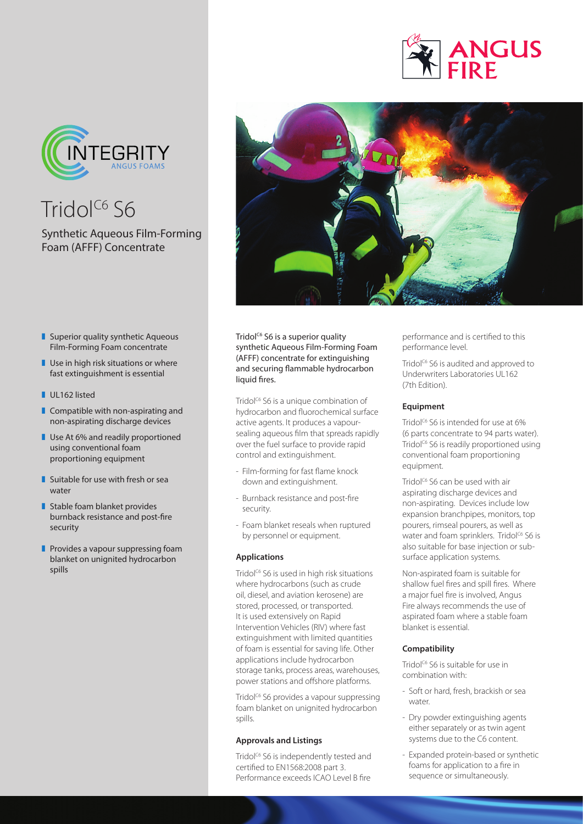



 $Tridol<sup>C6</sup>$  S6

# Synthetic Aqueous Film-Forming Foam (AFFF) Concentrate



- $\blacksquare$  Superior quality synthetic Aqueous Film-Forming Foam concentrate
- $\blacksquare$  Use in high risk situations or where fast extinguishment is essential
- UL162 listed
- $\blacksquare$  Compatible with non-aspirating and non-aspirating discharge devices
- **Use At 6% and readily proportioned** using conventional foam proportioning equipment
- $\blacksquare$  Suitable for use with fresh or sea water
- $\blacksquare$  Stable foam blanket provides burnback resistance and post-fire security
- $\blacksquare$  Provides a vapour suppressing foam blanket on unignited hydrocarbon spills

Tridol<sup>c6</sup> S6 is a superior quality synthetic Aqueous Film-Forming Foam (AFFF) concentrate for extinguishing and securing flammable hydrocarbon liquid fires.

Tridol<sup>c6</sup> S6 is a unique combination of hydrocarbon and fluorochemical surface active agents. It produces a vapoursealing aqueous film that spreads rapidly over the fuel surface to provide rapid control and extinguishment.

- Film-forming for fast flame knock down and extinguishment.
- Burnback resistance and post-fire security.
- Foam blanket reseals when ruptured by personnel or equipment.

## **Applications**

Tridol<sup>c6</sup> S6 is used in high risk situations where hydrocarbons (such as crude oil, diesel, and aviation kerosene) are stored, processed, or transported. It is used extensively on Rapid Intervention Vehicles (RIV) where fast extinguishment with limited quantities of foam is essential for saving life. Other applications include hydrocarbon storage tanks, process areas, warehouses, power stations and offshore platforms.

Tridol<sup>c6</sup> S6 provides a vapour suppressing foam blanket on unignited hydrocarbon spills.

## **Approvals and Listings**

Tridol<sup>c6</sup> S6 is independently tested and certified to EN1568:2008 part 3. Performance exceeds ICAO Level B fire

performance and is certified to this performance level.

Tridol<sup>C6</sup> S6 is audited and approved to Underwriters Laboratories UL162 (7th Edition).

## **Equipment**

Tridol<sup>c6</sup> S6 is intended for use at 6% (6 parts concentrate to 94 parts water). Tridol<sup>c6</sup> S6 is readily proportioned using conventional foam proportioning equipment.

Tridol<sup>c6</sup> S6 can be used with air aspirating discharge devices and non-aspirating. Devices include low expansion branchpipes, monitors, top pourers, rimseal pourers, as well as water and foam sprinklers. Tridol<sup>c6</sup> S6 is also suitable for base injection or subsurface application systems.

Non-aspirated foam is suitable for shallow fuel fires and spill fires. Where a major fuel fire is involved, Angus Fire always recommends the use of aspirated foam where a stable foam blanket is essential.

## **Compatibility**

Tridol<sup>c6</sup> S6 is suitable for use in combination with:

- Soft or hard, fresh, brackish or sea water.
- Dry powder extinguishing agents either separately or as twin agent systems due to the C6 content.
- Expanded protein-based or synthetic foams for application to a fire in sequence or simultaneously.